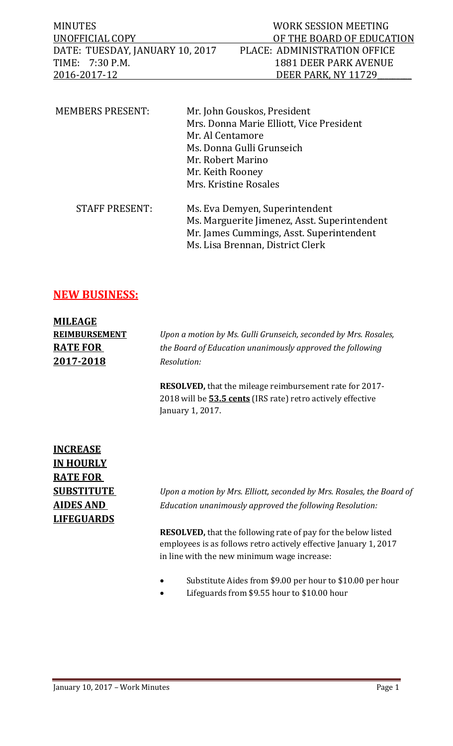| MINUTES                         | WORK SESSION MEETING         |
|---------------------------------|------------------------------|
| UNOFFICIAL COPY                 | OF THE BOARD OF EDUCATION    |
| DATE: TUESDAY, JANUARY 10, 2017 | PLACE: ADMINISTRATION OFFICE |
| TIME: 7:30 P.M.                 | 1881 DEER PARK AVENUE        |
| 2016-2017-12                    | DEER PARK, NY 11729          |
|                                 |                              |

| <b>MEMBERS PRESENT:</b> | Mr. John Gouskos, President                  |
|-------------------------|----------------------------------------------|
|                         | Mrs. Donna Marie Elliott, Vice President     |
|                         | Mr. Al Centamore                             |
|                         | Ms. Donna Gulli Grunseich                    |
|                         | Mr. Robert Marino                            |
|                         | Mr. Keith Rooney                             |
|                         | Mrs. Kristine Rosales                        |
| <b>STAFF PRESENT:</b>   | Ms. Eva Demyen, Superintendent               |
|                         | Ms. Marguerite Jimenez, Asst. Superintendent |
|                         | Mr. James Cummings, Asst. Superintendent     |
|                         | Ms. Lisa Brennan, District Clerk             |

## **NEW BUSINESS:**

| <b>MILEAGE</b>       |                                                                 |
|----------------------|-----------------------------------------------------------------|
| <b>REIMBURSEMENT</b> | Upon a motion by Ms. Gulli Grunseich, seconded by Mrs. Rosales, |
| <b>RATE FOR</b>      | the Board of Education unanimously approved the following       |
| 2017-2018            | Resolution:                                                     |

**RESOLVED,** that the mileage reimbursement rate for 2017- 2018 will be **53.5 cents** (IRS rate) retro actively effective January 1, 2017.

## **INCREASE IN HOURLY RATE FOR LIFEGUARDS**

**SUBSTITUTE** *Upon a motion by Mrs. Elliott, seconded by Mrs. Rosales, the Board of*  **AIDES AND** *Education unanimously approved the following Resolution:*

> **RESOLVED,** that the following rate of pay for the below listed employees is as follows retro actively effective January 1, 2017 in line with the new minimum wage increase:

- Substitute Aides from \$9.00 per hour to \$10.00 per hour
- Lifeguards from \$9.55 hour to \$10.00 hour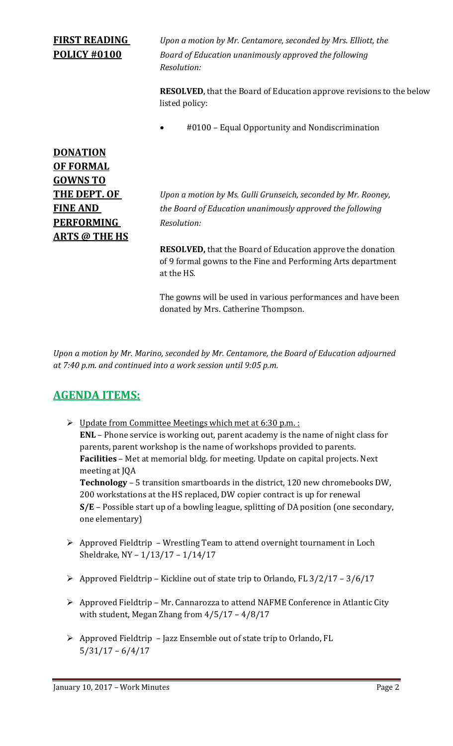## **FIRST READING** *Upon a motion by Mr. Centamore, seconded by Mrs. Elliott, the* **POLICY #0100** *Board of Education unanimously approved the following Resolution:* **RESOLVED**, that the Board of Education approve revisions to the below listed policy: #0100 – Equal Opportunity and Nondiscrimination **DONATION OF FORMAL GOWNS TO THE DEPT. OF** *Upon a motion by Ms. Gulli Grunseich, seconded by Mr. Rooney,*  **FINE AND** *the Board of Education unanimously approved the following* **PERFORMING** *Resolution:*

**RESOLVED,** that the Board of Education approve the donation of 9 formal gowns to the Fine and Performing Arts department at the HS.

The gowns will be used in various performances and have been donated by Mrs. Catherine Thompson.

*Upon a motion by Mr. Marino, seconded by Mr. Centamore, the Board of Education adjourned at 7:40 p.m. and continued into a work session until 9:05 p.m.*

## **AGENDA ITEMS:**

**ARTS @ THE HS**

- $\triangleright$  Update from Committee Meetings which met at 6:30 p.m. : **ENL** – Phone service is working out, parent academy is the name of night class for parents, parent workshop is the name of workshops provided to parents. **Facilities** – Met at memorial bldg. for meeting. Update on capital projects. Next meeting at JQA **Technology** – 5 transition smartboards in the district, 120 new chromebooks DW, 200 workstations at the HS replaced, DW copier contract is up for renewal **S/E** – Possible start up of a bowling league, splitting of DA position (one secondary, one elementary)
- $\triangleright$  Approved Fieldtrip Wrestling Team to attend overnight tournament in Loch Sheldrake, NY – 1/13/17 – 1/14/17
- $\triangleright$  Approved Fieldtrip Kickline out of state trip to Orlando, FL 3/2/17 3/6/17
- Approved Fieldtrip Mr. Cannarozza to attend NAFME Conference in Atlantic City with student, Megan Zhang from 4/5/17 – 4/8/17
- $\triangleright$  Approved Fieldtrip Jazz Ensemble out of state trip to Orlando, FL 5/31/17 – 6/4/17